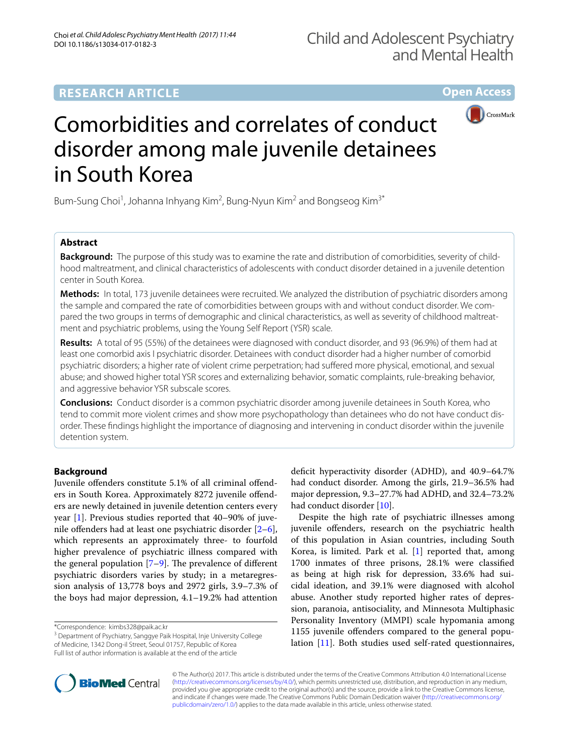# **RESEARCH ARTICLE**

**Open Access**



# Comorbidities and correlates of conduct disorder among male juvenile detainees in South Korea

Bum-Sung Choi<sup>1</sup>, Johanna Inhyang Kim<sup>2</sup>, Bung-Nyun Kim<sup>2</sup> and Bongseog Kim<sup>3\*</sup>

# **Abstract**

**Background:** The purpose of this study was to examine the rate and distribution of comorbidities, severity of child‑ hood maltreatment, and clinical characteristics of adolescents with conduct disorder detained in a juvenile detention center in South Korea.

**Methods:** In total, 173 juvenile detainees were recruited. We analyzed the distribution of psychiatric disorders among the sample and compared the rate of comorbidities between groups with and without conduct disorder. We compared the two groups in terms of demographic and clinical characteristics, as well as severity of childhood maltreatment and psychiatric problems, using the Young Self Report (YSR) scale.

**Results:** A total of 95 (55%) of the detainees were diagnosed with conduct disorder, and 93 (96.9%) of them had at least one comorbid axis I psychiatric disorder. Detainees with conduct disorder had a higher number of comorbid psychiatric disorders; a higher rate of violent crime perpetration; had sufered more physical, emotional, and sexual abuse; and showed higher total YSR scores and externalizing behavior, somatic complaints, rule-breaking behavior, and aggressive behavior YSR subscale scores.

**Conclusions:** Conduct disorder is a common psychiatric disorder among juvenile detainees in South Korea, who tend to commit more violent crimes and show more psychopathology than detainees who do not have conduct disorder. These fndings highlight the importance of diagnosing and intervening in conduct disorder within the juvenile detention system.

# **Background**

Juvenile ofenders constitute 5.1% of all criminal ofenders in South Korea. Approximately 8272 juvenile offenders are newly detained in juvenile detention centers every year [\[1](#page-5-0)]. Previous studies reported that 40–90% of juvenile offenders had at least one psychiatric disorder  $[2-6]$  $[2-6]$ , which represents an approximately three- to fourfold higher prevalence of psychiatric illness compared with the general population  $[7-9]$  $[7-9]$ . The prevalence of different psychiatric disorders varies by study; in a metaregression analysis of 13,778 boys and 2972 girls, 3.9–7.3% of the boys had major depression, 4.1–19.2% had attention

\*Correspondence: kimbs328@paik.ac.kr

deficit hyperactivity disorder (ADHD), and 40.9–64.7% had conduct disorder. Among the girls, 21.9–36.5% had major depression, 9.3–27.7% had ADHD, and 32.4–73.2% had conduct disorder [\[10](#page-5-5)].

Despite the high rate of psychiatric illnesses among juvenile offenders, research on the psychiatric health of this population in Asian countries, including South Korea, is limited. Park et al. [[1\]](#page-5-0) reported that, among 1700 inmates of three prisons, 28.1% were classifed as being at high risk for depression, 33.6% had suicidal ideation, and 39.1% were diagnosed with alcohol abuse. Another study reported higher rates of depression, paranoia, antisociality, and Minnesota Multiphasic Personality Inventory (MMPI) scale hypomania among 1155 juvenile ofenders compared to the general population [\[11](#page-5-6)]. Both studies used self-rated questionnaires,



© The Author(s) 2017. This article is distributed under the terms of the Creative Commons Attribution 4.0 International License [\(http://creativecommons.org/licenses/by/4.0/\)](http://creativecommons.org/licenses/by/4.0/), which permits unrestricted use, distribution, and reproduction in any medium, provided you give appropriate credit to the original author(s) and the source, provide a link to the Creative Commons license, and indicate if changes were made. The Creative Commons Public Domain Dedication waiver ([http://creativecommons.org/](http://creativecommons.org/publicdomain/zero/1.0/) [publicdomain/zero/1.0/](http://creativecommons.org/publicdomain/zero/1.0/)) applies to the data made available in this article, unless otherwise stated.

<sup>&</sup>lt;sup>3</sup> Department of Psychiatry, Sanggye Paik Hospital, Inje University College of Medicine, 1342 Dong‑il Street, Seoul 01757, Republic of Korea Full list of author information is available at the end of the article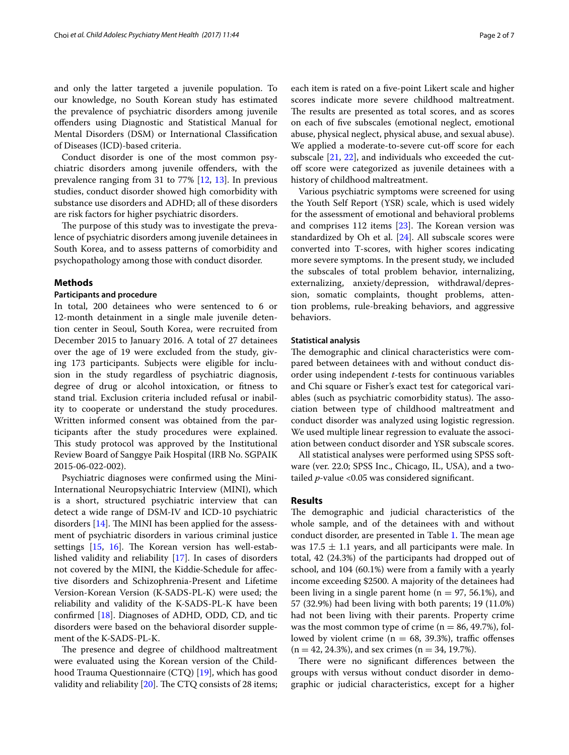and only the latter targeted a juvenile population. To our knowledge, no South Korean study has estimated the prevalence of psychiatric disorders among juvenile ofenders using Diagnostic and Statistical Manual for Mental Disorders (DSM) or International Classifcation of Diseases (ICD)-based criteria.

Conduct disorder is one of the most common psychiatric disorders among juvenile ofenders, with the prevalence ranging from 31 to 77% [[12](#page-5-7), [13\]](#page-5-8). In previous studies, conduct disorder showed high comorbidity with substance use disorders and ADHD; all of these disorders are risk factors for higher psychiatric disorders.

The purpose of this study was to investigate the prevalence of psychiatric disorders among juvenile detainees in South Korea, and to assess patterns of comorbidity and psychopathology among those with conduct disorder.

## **Methods**

## **Participants and procedure**

In total, 200 detainees who were sentenced to 6 or 12-month detainment in a single male juvenile detention center in Seoul, South Korea, were recruited from December 2015 to January 2016. A total of 27 detainees over the age of 19 were excluded from the study, giving 173 participants. Subjects were eligible for inclusion in the study regardless of psychiatric diagnosis, degree of drug or alcohol intoxication, or ftness to stand trial. Exclusion criteria included refusal or inability to cooperate or understand the study procedures. Written informed consent was obtained from the participants after the study procedures were explained. This study protocol was approved by the Institutional Review Board of Sanggye Paik Hospital (IRB No. SGPAIK 2015-06-022-002).

Psychiatric diagnoses were confrmed using the Mini-International Neuropsychiatric Interview (MINI), which is a short, structured psychiatric interview that can detect a wide range of DSM-IV and ICD-10 psychiatric disorders  $[14]$  $[14]$ . The MINI has been applied for the assessment of psychiatric disorders in various criminal justice settings  $[15, 16]$  $[15, 16]$  $[15, 16]$  $[15, 16]$  $[15, 16]$ . The Korean version has well-established validity and reliability [\[17](#page-6-0)]. In cases of disorders not covered by the MINI, the Kiddie-Schedule for afective disorders and Schizophrenia-Present and Lifetime Version-Korean Version (K-SADS-PL-K) were used; the reliability and validity of the K-SADS-PL-K have been confrmed [\[18](#page-6-1)]. Diagnoses of ADHD, ODD, CD, and tic disorders were based on the behavioral disorder supplement of the K-SADS-PL-K.

The presence and degree of childhood maltreatment were evaluated using the Korean version of the Childhood Trauma Questionnaire (CTQ) [[19\]](#page-6-2), which has good validity and reliability  $[20]$  $[20]$ . The CTQ consists of 28 items; each item is rated on a fve-point Likert scale and higher scores indicate more severe childhood maltreatment. The results are presented as total scores, and as scores on each of fve subscales (emotional neglect, emotional abuse, physical neglect, physical abuse, and sexual abuse). We applied a moderate-to-severe cut-off score for each subscale [\[21](#page-6-4), [22](#page-6-5)], and individuals who exceeded the cutoff score were categorized as juvenile detainees with a history of childhood maltreatment.

Various psychiatric symptoms were screened for using the Youth Self Report (YSR) scale, which is used widely for the assessment of emotional and behavioral problems and comprises  $112$  items  $[23]$  $[23]$ . The Korean version was standardized by Oh et al.  $[24]$ . All subscale scores were converted into T-scores, with higher scores indicating more severe symptoms. In the present study, we included the subscales of total problem behavior, internalizing, externalizing, anxiety/depression, withdrawal/depression, somatic complaints, thought problems, attention problems, rule-breaking behaviors, and aggressive behaviors.

## **Statistical analysis**

The demographic and clinical characteristics were compared between detainees with and without conduct disorder using independent *t*-tests for continuous variables and Chi square or Fisher's exact test for categorical variables (such as psychiatric comorbidity status). The association between type of childhood maltreatment and conduct disorder was analyzed using logistic regression. We used multiple linear regression to evaluate the association between conduct disorder and YSR subscale scores.

All statistical analyses were performed using SPSS software (ver. 22.0; SPSS Inc., Chicago, IL, USA), and a twotailed *p-*value <0.05 was considered signifcant.

## **Results**

The demographic and judicial characteristics of the whole sample, and of the detainees with and without conduct disorder, are presented in Table [1](#page-2-0). The mean age was  $17.5 \pm 1.1$  years, and all participants were male. In total, 42 (24.3%) of the participants had dropped out of school, and 104 (60.1%) were from a family with a yearly income exceeding \$2500. A majority of the detainees had been living in a single parent home ( $n = 97, 56.1\%$ ), and 57 (32.9%) had been living with both parents; 19 (11.0%) had not been living with their parents. Property crime was the most common type of crime ( $n = 86, 49.7\%$ ), followed by violent crime ( $n = 68$ , 39.3%), traffic offenses  $(n = 42, 24.3\%)$ , and sex crimes  $(n = 34, 19.7\%)$ .

There were no significant differences between the groups with versus without conduct disorder in demographic or judicial characteristics, except for a higher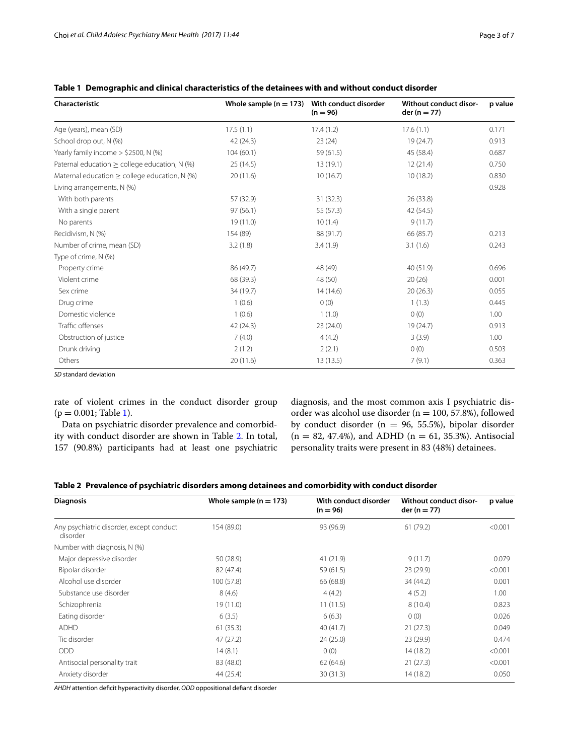| Characteristic                                     | Whole sample $(n = 173)$ | With conduct disorder<br>$(n = 96)$ | Without conduct disor-<br>der ( $n = 77$ ) | p value |
|----------------------------------------------------|--------------------------|-------------------------------------|--------------------------------------------|---------|
| Age (years), mean (SD)                             | 17.5(1.1)                | 17.4(1.2)                           | 17.6(1.1)                                  | 0.171   |
| School drop out, N (%)                             | 42(24.3)                 | 23(24)                              | 19 (24.7)                                  | 0.913   |
| Yearly family income $>$ \$2500, N (%)             | 104(60.1)                | 59 (61.5)                           | 45 (58.4)                                  | 0.687   |
| Paternal education $\geq$ college education, N (%) | 25(14.5)                 | 13(19.1)                            | 12(21.4)                                   | 0.750   |
| Maternal education $\geq$ college education, N (%) | 20(11.6)                 | 10(16.7)                            | 10(18.2)                                   | 0.830   |
| Living arrangements, N (%)                         |                          |                                     |                                            | 0.928   |
| With both parents                                  | 57 (32.9)                | 31 (32.3)                           | 26 (33.8)                                  |         |
| With a single parent                               | 97(56.1)                 | 55 (57.3)                           | 42 (54.5)                                  |         |
| No parents                                         | 19 (11.0)                | 10(1.4)                             | 9(11.7)                                    |         |
| Recidivism, N (%)                                  | 154 (89)                 | 88 (91.7)                           | 66 (85.7)                                  | 0.213   |
| Number of crime, mean (SD)                         | 3.2(1.8)                 | 3.4(1.9)                            | 3.1(1.6)                                   | 0.243   |
| Type of crime, N (%)                               |                          |                                     |                                            |         |
| Property crime                                     | 86 (49.7)                | 48 (49)                             | 40 (51.9)                                  | 0.696   |
| Violent crime                                      | 68 (39.3)                | 48 (50)                             | 20(26)                                     | 0.001   |
| Sex crime                                          | 34 (19.7)                | 14 (14.6)                           | 20(26.3)                                   | 0.055   |
| Drug crime                                         | 1(0.6)                   | 0(0)                                | 1(1.3)                                     | 0.445   |
| Domestic violence                                  | 1(0.6)                   | 1(1.0)                              | 0(0)                                       | 1.00    |
| Traffic offenses                                   | 42(24.3)                 | 23 (24.0)                           | 19 (24.7)                                  | 0.913   |
| Obstruction of justice                             | 7(4.0)                   | 4(4.2)                              | 3(3.9)                                     | 1.00    |
| Drunk driving                                      | 2(1.2)                   | 2(2.1)                              | 0(0)                                       | 0.503   |
| Others                                             | 20(11.6)                 | 13(13.5)                            | 7(9.1)                                     | 0.363   |
|                                                    |                          |                                     |                                            |         |

<span id="page-2-0"></span>**Table 1 Demographic and clinical characteristics of the detainees with and without conduct disorder**

*SD* standard deviation

rate of violent crimes in the conduct disorder group  $(p = 0.001;$  Table [1](#page-2-0)).

Data on psychiatric disorder prevalence and comorbidity with conduct disorder are shown in Table [2](#page-2-1). In total, 157 (90.8%) participants had at least one psychiatric diagnosis, and the most common axis I psychiatric disorder was alcohol use disorder ( $n = 100$ , 57.8%), followed by conduct disorder ( $n = 96, 55.5\%$ ), bipolar disorder  $(n = 82, 47.4\%)$ , and ADHD  $(n = 61, 35.3\%)$ . Antisocial personality traits were present in 83 (48%) detainees.

<span id="page-2-1"></span>

|  |  |  |  |  | Table 2   Prevalence of psychiatric disorders among detainees and comorbidity with conduct disorder |
|--|--|--|--|--|-----------------------------------------------------------------------------------------------------|
|--|--|--|--|--|-----------------------------------------------------------------------------------------------------|

| <b>Diagnosis</b>                                     | Whole sample ( $n = 173$ ) | With conduct disorder<br>$(n = 96)$ | Without conduct disor-<br>der ( $n = 77$ ) | p value |  |
|------------------------------------------------------|----------------------------|-------------------------------------|--------------------------------------------|---------|--|
| Any psychiatric disorder, except conduct<br>disorder | 154 (89.0)                 | 93 (96.9)                           | 61 (79.2)                                  | < 0.001 |  |
| Number with diagnosis, N (%)                         |                            |                                     |                                            |         |  |
| Major depressive disorder                            | 50 (28.9)                  | 41 (21.9)                           | 9(11.7)                                    | 0.079   |  |
| Bipolar disorder                                     | 82 (47.4)                  | 59 (61.5)                           | 23 (29.9)                                  | < 0.001 |  |
| Alcohol use disorder                                 | 100 (57.8)                 | 66 (68.8)                           | 34 (44.2)                                  | 0.001   |  |
| Substance use disorder                               | 8(4.6)                     | 4(4.2)                              | 4(5.2)                                     | 1.00    |  |
| Schizophrenia                                        | 19 (11.0)                  | 11(11.5)                            | 8(10.4)                                    | 0.823   |  |
| Eating disorder                                      | 6(3.5)                     | 6(6.3)                              | 0(0)                                       | 0.026   |  |
| <b>ADHD</b>                                          | 61(35.3)                   | 40 (41.7)                           | 21(27.3)                                   | 0.049   |  |
| Tic disorder                                         | 47(27.2)                   | 24(25.0)                            | 23 (29.9)                                  | 0.474   |  |
| ODD                                                  | 14(8.1)                    | 0(0)                                | 14 (18.2)                                  | < 0.001 |  |
| Antisocial personality trait                         | 83 (48.0)                  | 62(64.6)                            | 21(27.3)                                   | < 0.001 |  |
| Anxiety disorder                                     | 44 (25.4)                  | 30(31.3)                            | 14 (18.2)                                  | 0.050   |  |

*AHDH* attention defcit hyperactivity disorder, *ODD* oppositional defant disorder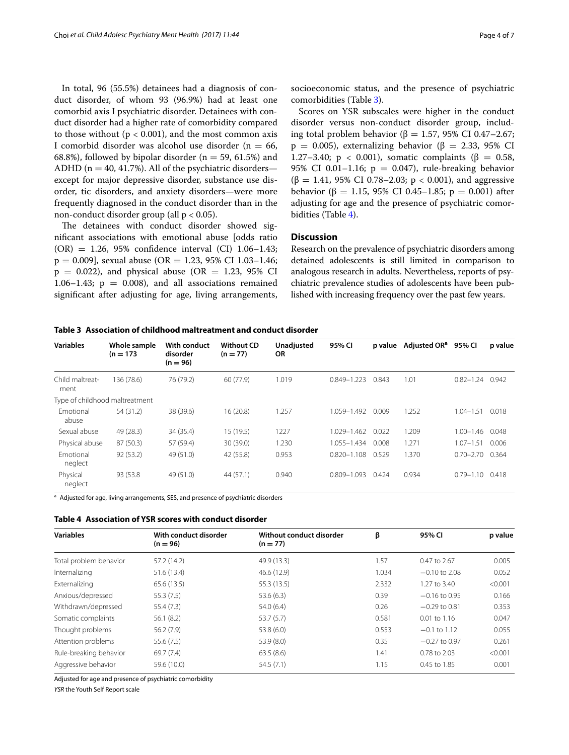In total, 96 (55.5%) detainees had a diagnosis of conduct disorder, of whom 93 (96.9%) had at least one comorbid axis I psychiatric disorder. Detainees with conduct disorder had a higher rate of comorbidity compared to those without ( $p < 0.001$ ), and the most common axis I comorbid disorder was alcohol use disorder ( $n = 66$ , 68.8%), followed by bipolar disorder ( $n = 59, 61.5%$ ) and ADHD ( $n = 40, 41.7\%$ ). All of the psychiatric disorders except for major depressive disorder, substance use disorder, tic disorders, and anxiety disorders—were more frequently diagnosed in the conduct disorder than in the non-conduct disorder group (all p < 0.05).

The detainees with conduct disorder showed signifcant associations with emotional abuse [odds ratio  $(OR) = 1.26, 95\%$  confidence interval  $(Cl)$  1.06–1.43;  $p = 0.009$ ], sexual abuse (OR = 1.23, 95% CI 1.03-1.46;  $p = 0.022$ ), and physical abuse (OR = 1.23, 95% CI 1.06–1.43;  $p = 0.008$ ), and all associations remained signifcant after adjusting for age, living arrangements, socioeconomic status, and the presence of psychiatric comorbidities (Table [3](#page-3-0)).

Scores on YSR subscales were higher in the conduct disorder versus non-conduct disorder group, including total problem behavior (β = 1.57, 95% CI 0.47-2.67; p = 0.005), externalizing behavior (β = 2.33, 95% CI 1.27–3.40; p < 0.001), somatic complaints (β = 0.58, 95% CI 0.01–1.16;  $p = 0.047$ ), rule-breaking behavior  $(β = 1.41, 95% CI 0.78–2.03; p < 0.001)$ , and aggressive behavior (β = 1.15, 95% CI 0.45–1.85; p = 0.001) after adjusting for age and the presence of psychiatric comorbidities (Table [4\)](#page-3-1).

# **Discussion**

Research on the prevalence of psychiatric disorders among detained adolescents is still limited in comparison to analogous research in adults. Nevertheless, reports of psychiatric prevalence studies of adolescents have been published with increasing frequency over the past few years.

<span id="page-3-0"></span>

|  |  |  | Table 3 Association of childhood maltreatment and conduct disorder |  |  |
|--|--|--|--------------------------------------------------------------------|--|--|
|--|--|--|--------------------------------------------------------------------|--|--|

| <b>Variables</b>               | Whole sample<br>$(n = 173)$ | With conduct<br>disorder<br>$(n = 96)$ | <b>Without CD</b><br>$(n = 77)$ | Unadjusted<br><b>OR</b> | 95% CI          | p value | Adjusted OR <sup>a</sup> | 95% CI        | p value |
|--------------------------------|-----------------------------|----------------------------------------|---------------------------------|-------------------------|-----------------|---------|--------------------------|---------------|---------|
| Child maltreat-<br>ment        | 136 (78.6)                  | 76 (79.2)                              | 60 (77.9)                       | 1.019                   | $0.849 - 1.223$ | 0.843   | 1.01                     | $0.82 - 1.24$ | 0.942   |
| Type of childhood maltreatment |                             |                                        |                                 |                         |                 |         |                          |               |         |
| Emotional<br>abuse             | 54 (31.2)                   | 38 (39.6)                              | 16(20.8)                        | 1.257                   | 1.059-1.492     | 0.009   | 1.252                    | $1.04 - 1.51$ | 0.018   |
| Sexual abuse                   | 49 (28.3)                   | 34 (35.4)                              | 15(19.5)                        | 1227                    | 1.029-1.462     | 0.022   | 1.209                    | $1.00 - 1.46$ | 0.048   |
| Physical abuse                 | 87 (50.3)                   | 57 (59.4)                              | 30 (39.0)                       | 1.230                   | 1.055-1.434     | 0.008   | 1.271                    | $1.07 - 1.51$ | 0.006   |
| Emotional<br>neglect           | 92 (53.2)                   | 49 (51.0)                              | 42 (55.8)                       | 0.953                   | $0.820 - 1.108$ | 0.529   | 1.370                    | $0.70 - 2.70$ | 0.364   |
| Physical<br>neglect            | 93 (53.8)                   | 49 (51.0)                              | 44 (57.1)                       | 0.940                   | $0.809 - 1.093$ | 0.424   | 0.934                    | $0.79 - 1.10$ | 0.418   |

<sup>a</sup> Adjusted for age, living arrangements, SES, and presence of psychiatric disorders

<span id="page-3-1"></span>

| Table 4 Association of YSR scores with conduct disorder |
|---------------------------------------------------------|
|---------------------------------------------------------|

| <b>Variables</b>       | With conduct disorder<br>$(n = 96)$ | Without conduct disorder<br>$(n = 77)$ | β     | 95% CI           | p value |
|------------------------|-------------------------------------|----------------------------------------|-------|------------------|---------|
| Total problem behavior | 57.2 (14.2)                         | 49.9 (13.3)                            | 1.57  | $0.47$ to $2.67$ | 0.005   |
| Internalizing          | 51.6 (13.4)                         | 46.6 (12.9)                            | 1.034 | $-0.10$ to 2.08  | 0.052   |
| Externalizing          | 65.6(13.5)                          | 55.3 (13.5)                            | 2.332 | 1.27 to 3.40     | < 0.001 |
| Anxious/depressed      | 55.3(7.5)                           | 53.6(6.3)                              | 0.39  | $-0.16$ to 0.95  | 0.166   |
| Withdrawn/depressed    | 55.4 (7.3)                          | 54.0(6.4)                              | 0.26  | $-0.29$ to 0.81  | 0.353   |
| Somatic complaints     | 56.1(8.2)                           | 53.7(5.7)                              | 0.581 | $0.01$ to $1.16$ | 0.047   |
| Thought problems       | 56.2 (7.9)                          | 53.8(6.0)                              | 0.553 | $-0.1$ to 1.12   | 0.055   |
| Attention problems     | 55.6 (7.5)                          | 53.9(8.0)                              | 0.35  | $-0.27$ to 0.97  | 0.261   |
| Rule-breaking behavior | 69.7(7.4)                           | 63.5(8.6)                              | 1.41  | 0.78 to 2.03     | < 0.001 |
| Aggressive behavior    | 59.6 (10.0)                         | 54.5(7.1)                              | 1.15  | 0.45 to 1.85     | 0.001   |

Adjusted for age and presence of psychiatric comorbidity

*YSR* the Youth Self Report scale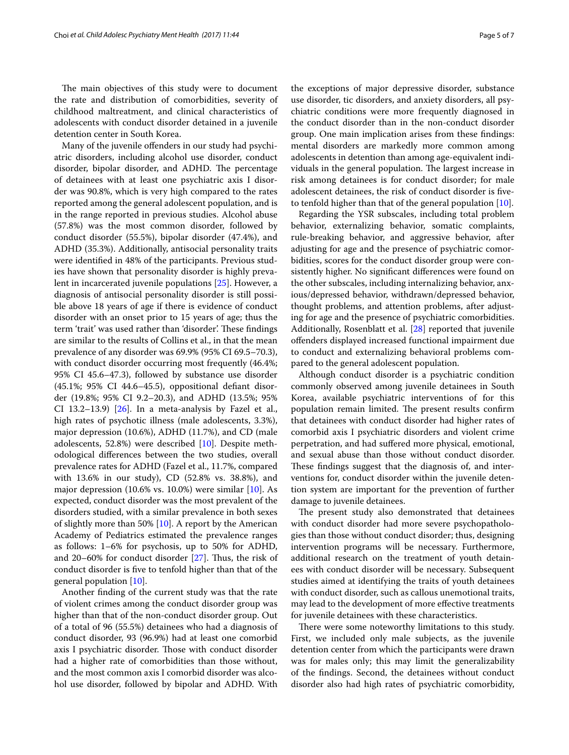The main objectives of this study were to document the rate and distribution of comorbidities, severity of childhood maltreatment, and clinical characteristics of adolescents with conduct disorder detained in a juvenile detention center in South Korea.

Many of the juvenile offenders in our study had psychiatric disorders, including alcohol use disorder, conduct disorder, bipolar disorder, and ADHD. The percentage of detainees with at least one psychiatric axis I disorder was 90.8%, which is very high compared to the rates reported among the general adolescent population, and is in the range reported in previous studies. Alcohol abuse (57.8%) was the most common disorder, followed by conduct disorder (55.5%), bipolar disorder (47.4%), and ADHD (35.3%). Additionally, antisocial personality traits were identifed in 48% of the participants. Previous studies have shown that personality disorder is highly prevalent in incarcerated juvenile populations [\[25](#page-6-8)]. However, a diagnosis of antisocial personality disorder is still possible above 18 years of age if there is evidence of conduct disorder with an onset prior to 15 years of age; thus the term 'trait' was used rather than 'disorder'. These findings are similar to the results of Collins et al., in that the mean prevalence of any disorder was 69.9% (95% CI 69.5–70.3), with conduct disorder occurring most frequently (46.4%; 95% CI 45.6–47.3), followed by substance use disorder (45.1%; 95% CI 44.6–45.5), oppositional defant disorder (19.8%; 95% CI 9.2–20.3), and ADHD (13.5%; 95% CI 13.2–13.9)  $[26]$  $[26]$ . In a meta-analysis by Fazel et al., high rates of psychotic illness (male adolescents, 3.3%), major depression (10.6%), ADHD (11.7%), and CD (male adolescents, 52.8%) were described [\[10](#page-5-5)]. Despite methodological diferences between the two studies, overall prevalence rates for ADHD (Fazel et al., 11.7%, compared with 13.6% in our study), CD (52.8% vs. 38.8%), and major depression (10.6% vs. 10.0%) were similar [\[10](#page-5-5)]. As expected, conduct disorder was the most prevalent of the disorders studied, with a similar prevalence in both sexes of slightly more than 50% [[10](#page-5-5)]. A report by the American Academy of Pediatrics estimated the prevalence ranges as follows: 1–6% for psychosis, up to 50% for ADHD, and 20–60% for conduct disorder  $[27]$  $[27]$ . Thus, the risk of conduct disorder is fve to tenfold higher than that of the general population [[10\]](#page-5-5).

Another fnding of the current study was that the rate of violent crimes among the conduct disorder group was higher than that of the non-conduct disorder group. Out of a total of 96 (55.5%) detainees who had a diagnosis of conduct disorder, 93 (96.9%) had at least one comorbid axis I psychiatric disorder. Those with conduct disorder had a higher rate of comorbidities than those without, and the most common axis I comorbid disorder was alcohol use disorder, followed by bipolar and ADHD. With

the exceptions of major depressive disorder, substance use disorder, tic disorders, and anxiety disorders, all psychiatric conditions were more frequently diagnosed in the conduct disorder than in the non-conduct disorder group. One main implication arises from these fndings: mental disorders are markedly more common among adolescents in detention than among age-equivalent individuals in the general population. The largest increase in risk among detainees is for conduct disorder; for male adolescent detainees, the risk of conduct disorder is fveto tenfold higher than that of the general population [[10](#page-5-5)].

Regarding the YSR subscales, including total problem behavior, externalizing behavior, somatic complaints, rule-breaking behavior, and aggressive behavior, after adjusting for age and the presence of psychiatric comorbidities, scores for the conduct disorder group were consistently higher. No signifcant diferences were found on the other subscales, including internalizing behavior, anxious/depressed behavior, withdrawn/depressed behavior, thought problems, and attention problems, after adjusting for age and the presence of psychiatric comorbidities. Additionally, Rosenblatt et al. [[28\]](#page-6-11) reported that juvenile ofenders displayed increased functional impairment due to conduct and externalizing behavioral problems compared to the general adolescent population.

Although conduct disorder is a psychiatric condition commonly observed among juvenile detainees in South Korea, available psychiatric interventions of for this population remain limited. The present results confirm that detainees with conduct disorder had higher rates of comorbid axis I psychiatric disorders and violent crime perpetration, and had sufered more physical, emotional, and sexual abuse than those without conduct disorder. These findings suggest that the diagnosis of, and interventions for, conduct disorder within the juvenile detention system are important for the prevention of further damage to juvenile detainees.

The present study also demonstrated that detainees with conduct disorder had more severe psychopathologies than those without conduct disorder; thus, designing intervention programs will be necessary. Furthermore, additional research on the treatment of youth detainees with conduct disorder will be necessary. Subsequent studies aimed at identifying the traits of youth detainees with conduct disorder, such as callous unemotional traits, may lead to the development of more efective treatments for juvenile detainees with these characteristics.

There were some noteworthy limitations to this study. First, we included only male subjects, as the juvenile detention center from which the participants were drawn was for males only; this may limit the generalizability of the fndings. Second, the detainees without conduct disorder also had high rates of psychiatric comorbidity,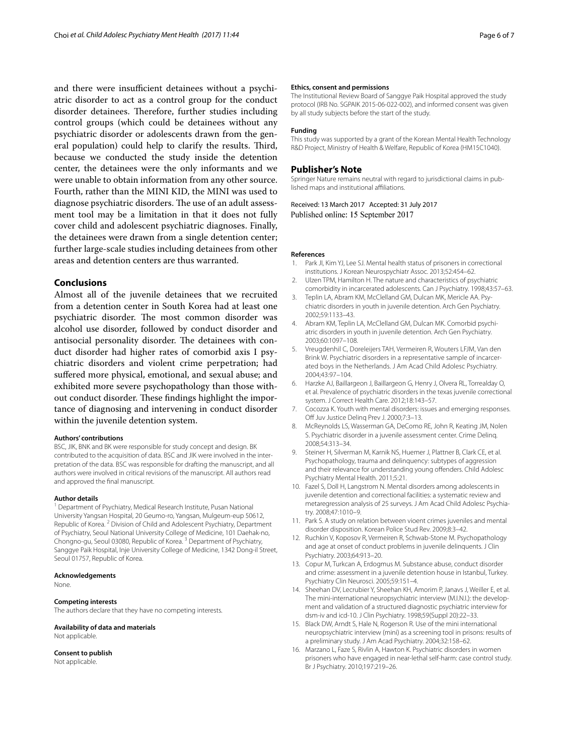and there were insufficient detainees without a psychiatric disorder to act as a control group for the conduct disorder detainees. Therefore, further studies including control groups (which could be detainees without any psychiatric disorder or adolescents drawn from the general population) could help to clarify the results. Third, because we conducted the study inside the detention center, the detainees were the only informants and we were unable to obtain information from any other source. Fourth, rather than the MINI KID, the MINI was used to diagnose psychiatric disorders. The use of an adult assessment tool may be a limitation in that it does not fully cover child and adolescent psychiatric diagnoses. Finally, the detainees were drawn from a single detention center; further large-scale studies including detainees from other areas and detention centers are thus warranted.

## **Conclusions**

Almost all of the juvenile detainees that we recruited from a detention center in South Korea had at least one psychiatric disorder. The most common disorder was alcohol use disorder, followed by conduct disorder and antisocial personality disorder. The detainees with conduct disorder had higher rates of comorbid axis I psychiatric disorders and violent crime perpetration; had sufered more physical, emotional, and sexual abuse; and exhibited more severe psychopathology than those without conduct disorder. These findings highlight the importance of diagnosing and intervening in conduct disorder within the juvenile detention system.

#### **Authors' contributions**

BSC, JIK, BNK and BK were responsible for study concept and design. BK contributed to the acquisition of data. BSC and JIK were involved in the interpretation of the data. BSC was responsible for drafting the manuscript, and all authors were involved in critical revisions of the manuscript. All authors read and approved the fnal manuscript.

#### **Author details**

<sup>1</sup> Department of Psychiatry, Medical Research Institute, Pusan National University Yangsan Hospital, 20 Geumo‑ro, Yangsan, Mulgeum‑eup 50612, Republic of Korea. <sup>2</sup> Division of Child and Adolescent Psychiatry, Department of Psychiatry, Seoul National University College of Medicine, 101 Daehak‑no, Chongno‑gu, Seoul 03080, Republic of Korea. 3 Department of Psychiatry, Sanggye Paik Hospital, Inje University College of Medicine, 1342 Dong‑il Street, Seoul 01757, Republic of Korea.

#### **Acknowledgements**

None.

#### **Competing interests**

The authors declare that they have no competing interests.

# **Availability of data and materials**

Not applicable.

#### **Consent to publish**

Not applicable.

#### **Ethics, consent and permissions**

The Institutional Review Board of Sanggye Paik Hospital approved the study protocol (IRB No. SGPAIK 2015-06-022-002), and informed consent was given by all study subjects before the start of the study.

#### **Funding**

This study was supported by a grant of the Korean Mental Health Technology R&D Project, Ministry of Health & Welfare, Republic of Korea (HM15C1040).

## **Publisher's Note**

Springer Nature remains neutral with regard to jurisdictional claims in published maps and institutional afliations.

Received: 13 March 2017 Accepted: 31 July 2017 Published online: 15 September 2017

## **References**

- <span id="page-5-0"></span>1. Park JI, Kim YJ, Lee SJ. Mental health status of prisoners in correctional institutions. J Korean Neurospychiatr Assoc. 2013;52:454–62.
- <span id="page-5-1"></span>2. Ulzen TPM, Hamilton H. The nature and characteristics of psychiatric comorbidity in incarcerated adolescents. Can J Psychiatry. 1998;43:57–63.
- 3. Teplin LA, Abram KM, McClelland GM, Dulcan MK, Mericle AA. Psychiatric disorders in youth in juvenile detention. Arch Gen Psychiatry. 2002;59:1133–43.
- 4. Abram KM, Teplin LA, McClelland GM, Dulcan MK. Comorbid psychiatric disorders in youth in juvenile detention. Arch Gen Psychiatry. 2003;60:1097–108.
- 5. Vreugdenhil C, Doreleijers TAH, Vermeiren R, Wouters LFJM, Van den Brink W. Psychiatric disorders in a representative sample of incarcerated boys in the Netherlands. J Am Acad Child Adolesc Psychiatry. 2004;43:97–104.
- <span id="page-5-2"></span>6. Harzke AJ, Baillargeon J, Baillargeon G, Henry J, Olvera RL, Torrealday O, et al. Prevalence of psychiatric disorders in the texas juvenile correctional system. J Correct Health Care. 2012;18:143–57.
- <span id="page-5-3"></span>7. Cocozza K. Youth with mental disorders: issues and emerging responses. Off Juv Justice Deling Prev J. 2000;7:3-13.
- 8. McReynolds LS, Wasserman GA, DeComo RE, John R, Keating JM, Nolen S. Psychiatric disorder in a juvenile assessment center. Crime Delinq. 2008;54:313–34.
- <span id="page-5-4"></span>9. Steiner H, Silverman M, Karnik NS, Huemer J, Plattner B, Clark CE, et al. Psychopathology, trauma and delinquency: subtypes of aggression and their relevance for understanding young offenders. Child Adolesc Psychiatry Mental Health. 2011;5:21.
- <span id="page-5-5"></span>10. Fazel S, Doll H, Langstrom N. Mental disorders among adolescents in juvenile detention and correctional facilities: a systematic review and metaregression analysis of 25 surveys. J Am Acad Child Adolesc Psychiatry. 2008;47:1010–9.
- <span id="page-5-6"></span>11. Park S. A study on relation between vioent crimes juveniles and mental disorder disposition. Korean Police Stud Rev. 2009;8:3–42.
- <span id="page-5-7"></span>12. Ruchkin V, Koposov R, Vermeiren R, Schwab-Stone M. Psychopathology and age at onset of conduct problems in juvenile delinquents. J Clin Psychiatry. 2003;64:913–20.
- <span id="page-5-8"></span>13. Copur M, Turkcan A, Erdogmus M. Substance abuse, conduct disorder and crime: assessment in a juvenile detention house in Istanbul, Turkey. Psychiatry Clin Neurosci. 2005;59:151–4.
- <span id="page-5-9"></span>14. Sheehan DV, Lecrubier Y, Sheehan KH, Amorim P, Janavs J, Weiller E, et al. The mini-international neuropsychiatric interview (M.I.N.I.): the development and validation of a structured diagnostic psychiatric interview for dsm-iv and icd-10. J Clin Psychiatry. 1998;59(Suppl 20):22–33.
- <span id="page-5-10"></span>15. Black DW, Arndt S, Hale N, Rogerson R. Use of the mini international neuropsychiatric interview (mini) as a screening tool in prisons: results of a preliminary study. J Am Acad Psychiatry. 2004;32:158–62.
- <span id="page-5-11"></span>16. Marzano L, Faze S, Rivlin A, Hawton K. Psychiatric disorders in women prisoners who have engaged in near-lethal self-harm: case control study. Br J Psychiatry. 2010;197:219–26.